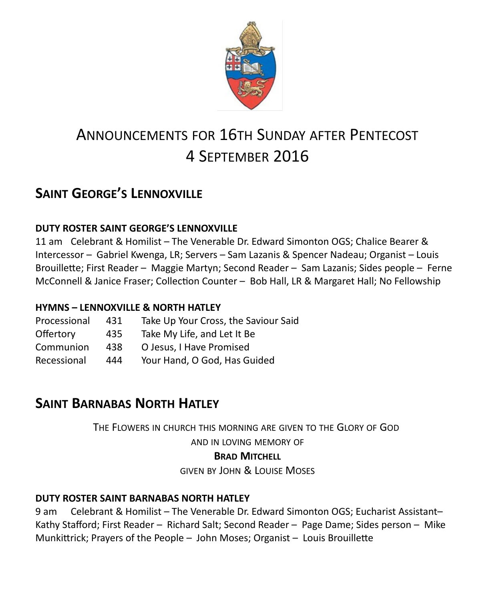

# ANNOUNCEMENTS FOR 16TH SUNDAY AFTER PENTECOST 4 SEPTEMBER 2016

# **SAINT GEORGE'S LENNOXVILLE**

### **DUTY ROSTER SAINT GEORGE'S LENNOXVILLE**

11 am Celebrant & Homilist – The Venerable Dr. Edward Simonton OGS; Chalice Bearer & Intercessor – Gabriel Kwenga, LR; Servers – Sam Lazanis & Spencer Nadeau; Organist – Louis Brouillette; First Reader – Maggie Martyn; Second Reader – Sam Lazanis; Sides people – Ferne McConnell & Janice Fraser; Collection Counter – Bob Hall, LR & Margaret Hall; No Fellowship

### **HYMNS – LENNOXVILLE & NORTH HATLEY**

| 431 | Take Up Your Cross, the Saviour Said |  |
|-----|--------------------------------------|--|
| 435 | Take My Life, and Let It Be          |  |
| 438 | O Jesus, I Have Promised             |  |
| 444 | Your Hand, O God, Has Guided         |  |
|     |                                      |  |

# **SAINT BARNABAS NORTH HATLEY**

THE FLOWERS IN CHURCH THIS MORNING ARE GIVEN TO THE GLORY OF GOD

AND IN LOVING MEMORY OF

### **BRAD MITCHELL**

GIVEN BY JOHN & LOUISE MOSES

### **DUTY ROSTER SAINT BARNABAS NORTH HATLEY**

9 am Celebrant & Homilist – The Venerable Dr. Edward Simonton OGS; Eucharist Assistant– Kathy Stafford; First Reader – Richard Salt; Second Reader – Page Dame; Sides person – Mike Munkittrick; Prayers of the People – John Moses; Organist – Louis Brouillette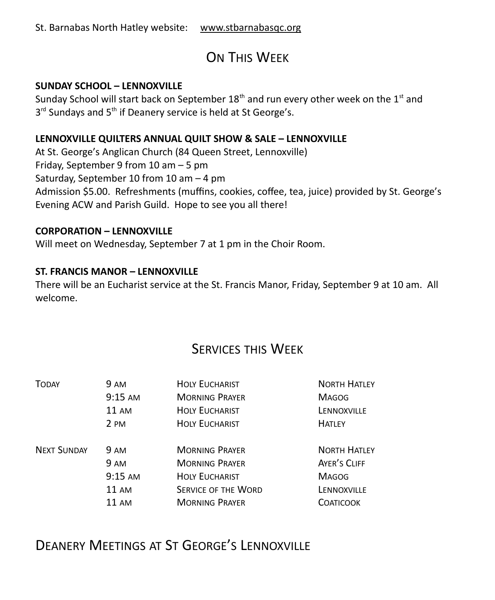# ON THIS WEEK

### **SUNDAY SCHOOL – LENNOXVILLE**

Sunday School will start back on September  $18<sup>th</sup>$  and run every other week on the  $1<sup>st</sup>$  and 3<sup>rd</sup> Sundays and 5<sup>th</sup> if Deanery service is held at St George's.

### **LENNOXVILLE QUILTERS ANNUAL QUILT SHOW & SALE – LENNOXVILLE**

At St. George's Anglican Church (84 Queen Street, Lennoxville) Friday, September 9 from 10 am – 5 pm Saturday, September 10 from 10 am – 4 pm Admission \$5.00. Refreshments (muffins, cookies, coffee, tea, juice) provided by St. George's Evening ACW and Parish Guild. Hope to see you all there!

### **CORPORATION – LENNOXVILLE**

Will meet on Wednesday, September 7 at 1 pm in the Choir Room.

### **ST. FRANCIS MANOR – LENNOXVILLE**

There will be an Eucharist service at the St. Francis Manor, Friday, September 9 at 10 am. All welcome.

### SERVICES THIS WEEK

| <b>TODAY</b>       | 9 AM      | <b>HOLY EUCHARIST</b>      | <b>NORTH HATLEY</b> |
|--------------------|-----------|----------------------------|---------------------|
|                    | $9:15$ AM | <b>MORNING PRAYER</b>      | <b>MAGOG</b>        |
|                    | 11 AM     | <b>HOLY EUCHARIST</b>      | LENNOXVILLE         |
|                    | 2 PM      | <b>HOLY EUCHARIST</b>      | <b>HATLEY</b>       |
| <b>NEXT SUNDAY</b> | 9 AM      | <b>MORNING PRAYER</b>      | <b>NORTH HATLEY</b> |
|                    | 9 AM      | <b>MORNING PRAYER</b>      | AYER'S CLIFF        |
|                    | $9:15$ AM | <b>HOLY EUCHARIST</b>      | <b>MAGOG</b>        |
|                    | 11 AM     | <b>SERVICE OF THE WORD</b> | LENNOXVILLE         |
|                    | 11 AM     | <b>MORNING PRAYER</b>      | <b>COATICOOK</b>    |

### DEANERY MEETINGS AT ST GEORGE'S LENNOXVILLE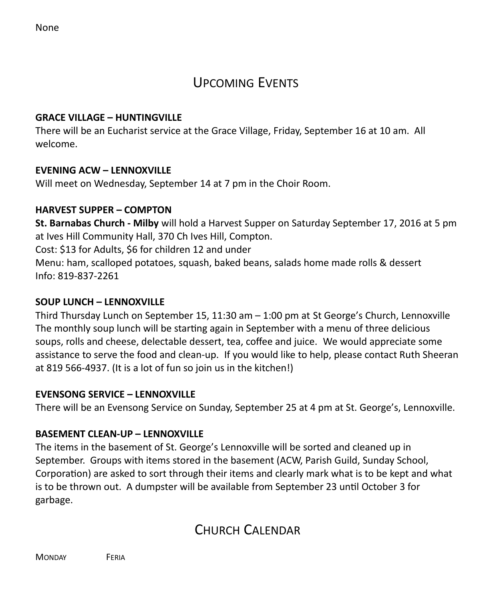### UPCOMING EVENTS

### **GRACE VILLAGE – HUNTINGVILLE**

There will be an Eucharist service at the Grace Village, Friday, September 16 at 10 am. All welcome.

### **EVENING ACW – LENNOXVILLE**

Will meet on Wednesday, September 14 at 7 pm in the Choir Room.

### **HARVEST SUPPER – COMPTON**

**St. Barnabas Church - Milby** will hold a Harvest Supper on Saturday September 17, 2016 at 5 pm at Ives Hill Community Hall, 370 Ch Ives Hill, Compton.

Cost: \$13 for Adults, \$6 for children 12 and under

Menu: ham, scalloped potatoes, squash, baked beans, salads home made rolls & dessert Info: 819-837-2261

### **SOUP LUNCH – LENNOXVILLE**

Third Thursday Lunch on September 15, 11:30 am – 1:00 pm at St George's Church, Lennoxville The monthly soup lunch will be starting again in September with a menu of three delicious soups, rolls and cheese, delectable dessert, tea, coffee and juice. We would appreciate some assistance to serve the food and clean-up. If you would like to help, please contact Ruth Sheeran at 819 566-4937. (It is a lot of fun so join us in the kitchen!)

### **EVENSONG SERVICE – LENNOXVILLE**

There will be an Evensong Service on Sunday, September 25 at 4 pm at St. George's, Lennoxville.

### **BASEMENT CLEAN-UP – LENNOXVILLE**

The items in the basement of St. George's Lennoxville will be sorted and cleaned up in September. Groups with items stored in the basement (ACW, Parish Guild, Sunday School, Corporation) are asked to sort through their items and clearly mark what is to be kept and what is to be thrown out. A dumpster will be available from September 23 until October 3 for garbage.

# CHURCH CALENDAR

MONDAY **FERIA**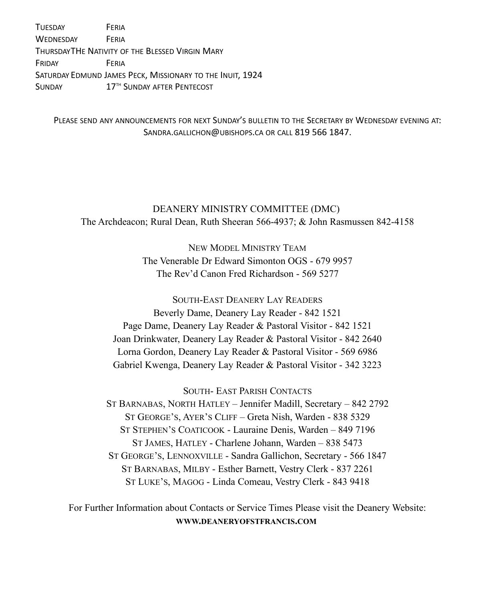TUESDAY FERIA WEDNESDAY FERIA THURSDAYTHE NATIVITY OF THE BLESSED VIRGIN MARY FRIDAY FERIA SATURDAY EDMUND JAMES PECK, MISSIONARY TO THE INUIT, 1924 SUNDAY 17<sup>TH</sup> SUNDAY AFTER PENTECOST

PLEASE SEND ANY ANNOUNCEMENTS FOR NEXT SUNDAY'S BULLETIN TO THE SECRETARY BY WEDNESDAY EVENING AT: SANDRA.GALLICHON@UBISHOPS.CA OR CALL 819 566 1847.

DEANERY MINISTRY COMMITTEE (DMC) The Archdeacon; Rural Dean, Ruth Sheeran 566-4937; & John Rasmussen 842-4158

> NEW MODEL MINISTRY TEAM The Venerable Dr Edward Simonton OGS - 679 9957 The Rev'd Canon Fred Richardson - 569 5277

SOUTH-EAST DEANERY LAY READERS Beverly Dame, Deanery Lay Reader - 842 1521 Page Dame, Deanery Lay Reader & Pastoral Visitor - 842 1521 Joan Drinkwater, Deanery Lay Reader & Pastoral Visitor - 842 2640 Lorna Gordon, Deanery Lay Reader & Pastoral Visitor - 569 6986 Gabriel Kwenga, Deanery Lay Reader & Pastoral Visitor - 342 3223

SOUTH- EAST PARISH CONTACTS

ST BARNABAS, NORTH HATLEY – Jennifer Madill, Secretary – 842 2792 ST GEORGE'S, AYER'S CLIFF – Greta Nish, Warden - 838 5329 ST STEPHEN'S COATICOOK - Lauraine Denis, Warden – 849 7196 ST JAMES, HATLEY - Charlene Johann, Warden – 838 5473 ST GEORGE'S, LENNOXVILLE - Sandra Gallichon, Secretary - 566 1847 ST BARNABAS, MILBY - Esther Barnett, Vestry Clerk - 837 2261 ST LUKE'S, MAGOG - Linda Comeau, Vestry Clerk - 843 9418

For Further Information about Contacts or Service Times Please visit the Deanery Website: **WWW.DEANERYOFSTFRANCIS.COM**